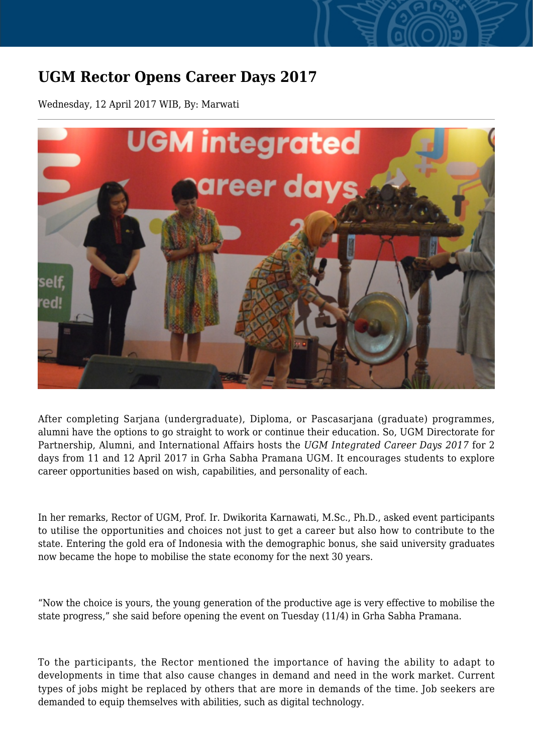## **UGM Rector Opens Career Days 2017**

Wednesday, 12 April 2017 WIB, By: Marwati



After completing Sarjana (undergraduate), Diploma, or Pascasarjana (graduate) programmes, alumni have the options to go straight to work or continue their education. So, UGM Directorate for Partnership, Alumni, and International Affairs hosts the *UGM Integrated Career Days 2017* for 2 days from 11 and 12 April 2017 in Grha Sabha Pramana UGM. It encourages students to explore career opportunities based on wish, capabilities, and personality of each.

In her remarks, Rector of UGM, Prof. Ir. Dwikorita Karnawati, M.Sc., Ph.D., asked event participants to utilise the opportunities and choices not just to get a career but also how to contribute to the state. Entering the gold era of Indonesia with the demographic bonus, she said university graduates now became the hope to mobilise the state economy for the next 30 years.

"Now the choice is yours, the young generation of the productive age is very effective to mobilise the state progress," she said before opening the event on Tuesday (11/4) in Grha Sabha Pramana.

To the participants, the Rector mentioned the importance of having the ability to adapt to developments in time that also cause changes in demand and need in the work market. Current types of jobs might be replaced by others that are more in demands of the time. Job seekers are demanded to equip themselves with abilities, such as digital technology.